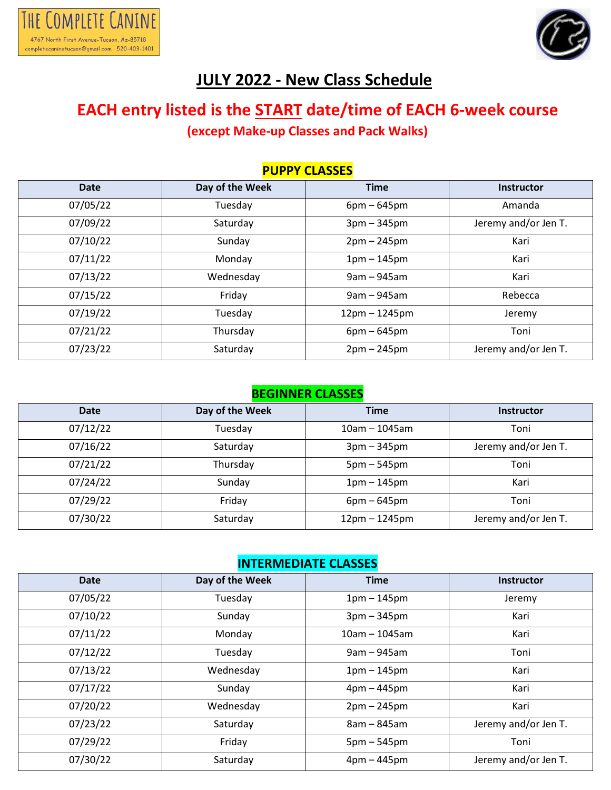



## **JULY 2022 - New Class Schedule**

### **EACH entry listed is the START date/time of EACH 6-week course (except Make-up Classes and Pack Walks)**

| <b>PUPPY CLASSES</b> |                 |                 |                      |  |
|----------------------|-----------------|-----------------|----------------------|--|
| <b>Date</b>          | Day of the Week | <b>Time</b>     | <b>Instructor</b>    |  |
| 07/05/22             | Tuesday         | $6pm - 645pm$   | Amanda               |  |
| 07/09/22             | Saturday        | $3pm - 345pm$   | Jeremy and/or Jen T. |  |
| 07/10/22             | Sunday          | $2pm - 245pm$   | Kari                 |  |
| 07/11/22             | Monday          | $1pm - 145pm$   | Kari                 |  |
| 07/13/22             | Wednesday       | $9am - 945am$   | Kari                 |  |
| 07/15/22             | Friday          | $9am - 945am$   | Rebecca              |  |
| 07/19/22             | Tuesday         | $12pm - 1245pm$ | Jeremy               |  |
| 07/21/22             | Thursday        | $6pm - 645pm$   | Toni                 |  |
| 07/23/22             | Saturday        | $2pm - 245pm$   | Jeremy and/or Jen T. |  |

#### **BEGINNER CLASSES**

| <b>Date</b> | Day of the Week | <b>Time</b>     | <b>Instructor</b>    |
|-------------|-----------------|-----------------|----------------------|
| 07/12/22    | Tuesday         | $10am - 1045am$ | Toni                 |
| 07/16/22    | Saturday        | $3pm - 345pm$   | Jeremy and/or Jen T. |
| 07/21/22    | Thursday        | $5pm - 545pm$   | Toni                 |
| 07/24/22    | Sunday          | $1pm - 145pm$   | Kari                 |
| 07/29/22    | Friday          | $6pm - 645pm$   | Toni                 |
| 07/30/22    | Saturday        | $12pm - 1245pm$ | Jeremy and/or Jen T. |

#### **INTERMEDIATE CLASSES**

| <b>Date</b> | Day of the Week | <b>Time</b>     | <b>Instructor</b>    |
|-------------|-----------------|-----------------|----------------------|
| 07/05/22    | Tuesday         | $1pm - 145pm$   | Jeremy               |
| 07/10/22    | Sunday          | $3pm - 345pm$   | Kari                 |
| 07/11/22    | Monday          | $10am - 1045am$ | Kari                 |
| 07/12/22    | Tuesday         | $9am - 945am$   | Toni                 |
| 07/13/22    | Wednesday       | $1pm - 145pm$   | Kari                 |
| 07/17/22    | Sunday          | $4pm - 445pm$   | Kari                 |
| 07/20/22    | Wednesday       | $2pm - 245pm$   | Kari                 |
| 07/23/22    | Saturday        | $8am - 845am$   | Jeremy and/or Jen T. |
| 07/29/22    | Friday          | $5pm - 545pm$   | Toni                 |
| 07/30/22    | Saturday        | $4pm - 445pm$   | Jeremy and/or Jen T. |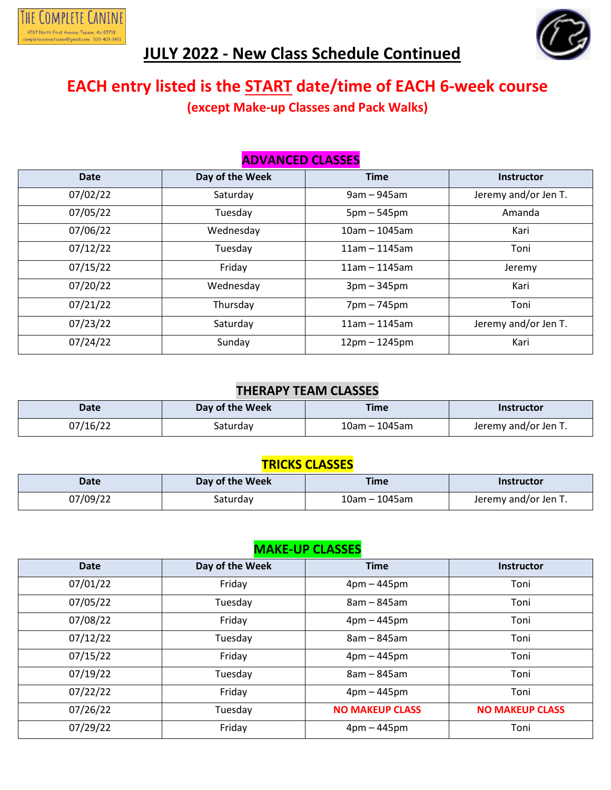

# **JULY 2022 - New Class Schedule Continued**

# **EACH entry listed is the START date/time of EACH 6-week course**

**(except Make-up Classes and Pack Walks)**

#### **ADVANCED CLASSES**

| <b>Date</b> | Day of the Week | <b>Time</b>     | <b>Instructor</b>    |
|-------------|-----------------|-----------------|----------------------|
| 07/02/22    | Saturday        | $9am - 945am$   | Jeremy and/or Jen T. |
| 07/05/22    | Tuesday         | $5pm - 545pm$   | Amanda               |
| 07/06/22    | Wednesday       | $10am - 1045am$ | Kari                 |
| 07/12/22    | Tuesday         | $11am - 1145am$ | Toni                 |
| 07/15/22    | Friday          | $11am - 1145am$ | Jeremy               |
| 07/20/22    | Wednesday       | $3pm - 345pm$   | Kari                 |
| 07/21/22    | Thursday        | 7pm - 745pm     | Toni                 |
| 07/23/22    | Saturday        | $11am - 1145am$ | Jeremy and/or Jen T. |
| 07/24/22    | Sunday          | $12pm - 1245pm$ | Kari                 |

#### **THERAPY TEAM CLASSES**

| <b>Date</b> | Day of the Week | <b>Time</b>         | <b>Instructor</b>    |
|-------------|-----------------|---------------------|----------------------|
| 07/16/22    | Saturday        | $10$ am - $1045$ am | Jeremy and/or Jen T. |

#### **TRICKS CLASSES**

| <b>Date</b> | Day of the Week | <b>Time</b>     | <b>Instructor</b>    |
|-------------|-----------------|-----------------|----------------------|
| 07/09/22    | Saturday        | $10am - 1045am$ | Jeremy and/or Jen T. |

#### **MAKE-UP CLASSES**

| <b>Date</b> | Day of the Week | <b>Time</b>            | <b>Instructor</b>      |
|-------------|-----------------|------------------------|------------------------|
| 07/01/22    | Friday          | $4pm - 445pm$          | Toni                   |
| 07/05/22    | Tuesday         | $8am - 845am$          | Toni                   |
| 07/08/22    | Friday          | $4pm - 445pm$          | Toni                   |
| 07/12/22    | Tuesday         | $8am - 845am$          | Toni                   |
| 07/15/22    | Friday          | $4pm - 445pm$          | Toni                   |
| 07/19/22    | Tuesday         | 8am - 845am            | Toni                   |
| 07/22/22    | Friday          | $4pm - 445pm$          | Toni                   |
| 07/26/22    | Tuesday         | <b>NO MAKEUP CLASS</b> | <b>NO MAKEUP CLASS</b> |
| 07/29/22    | Friday          | $4pm - 445pm$          | Toni                   |